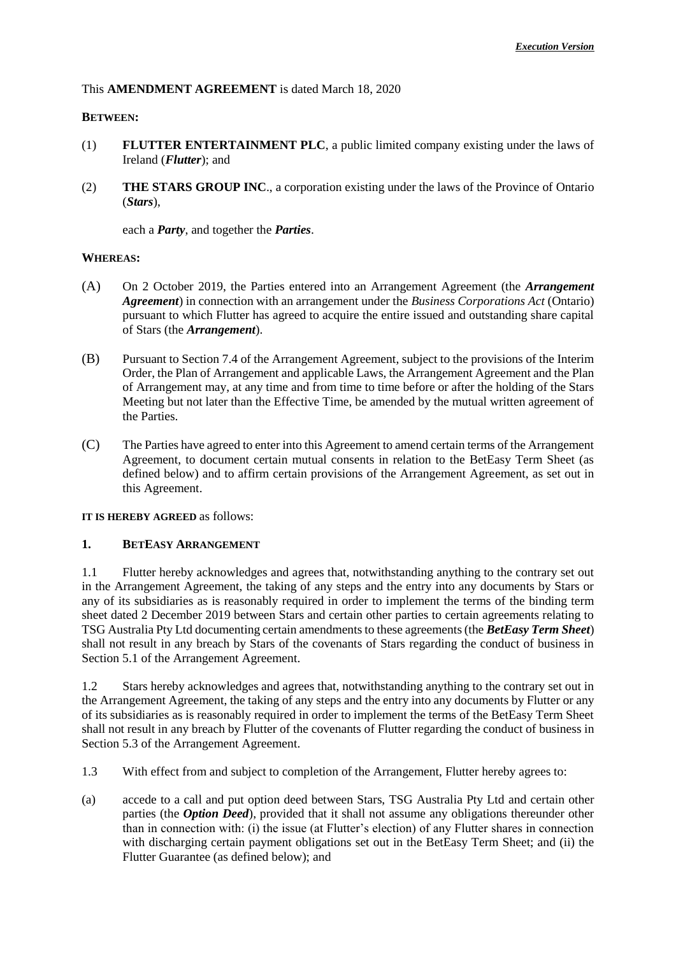## This **AMENDMENT AGREEMENT** is dated March 18, 2020

### **BETWEEN:**

- (1) **FLUTTER ENTERTAINMENT PLC**, a public limited company existing under the laws of Ireland (*Flutter*); and
- (2) **THE STARS GROUP INC**., a corporation existing under the laws of the Province of Ontario (*Stars*),

each a *Party*, and together the *Parties*.

#### **WHEREAS:**

- (A) On 2 October 2019, the Parties entered into an Arrangement Agreement (the *Arrangement Agreement*) in connection with an arrangement under the *Business Corporations Act* (Ontario) pursuant to which Flutter has agreed to acquire the entire issued and outstanding share capital of Stars (the *Arrangement*).
- (B) Pursuant to Section 7.4 of the Arrangement Agreement, subject to the provisions of the Interim Order, the Plan of Arrangement and applicable Laws, the Arrangement Agreement and the Plan of Arrangement may, at any time and from time to time before or after the holding of the Stars Meeting but not later than the Effective Time, be amended by the mutual written agreement of the Parties.
- (C) The Parties have agreed to enter into this Agreement to amend certain terms of the Arrangement Agreement, to document certain mutual consents in relation to the BetEasy Term Sheet (as defined below) and to affirm certain provisions of the Arrangement Agreement, as set out in this Agreement.

**IT IS HEREBY AGREED** as follows:

#### **1. BETEASY ARRANGEMENT**

1.1 Flutter hereby acknowledges and agrees that, notwithstanding anything to the contrary set out in the Arrangement Agreement, the taking of any steps and the entry into any documents by Stars or any of its subsidiaries as is reasonably required in order to implement the terms of the binding term sheet dated 2 December 2019 between Stars and certain other parties to certain agreements relating to TSG Australia Pty Ltd documenting certain amendments to these agreements (the *BetEasy Term Sheet*) shall not result in any breach by Stars of the covenants of Stars regarding the conduct of business in Section 5.1 of the Arrangement Agreement.

1.2 Stars hereby acknowledges and agrees that, notwithstanding anything to the contrary set out in the Arrangement Agreement, the taking of any steps and the entry into any documents by Flutter or any of its subsidiaries as is reasonably required in order to implement the terms of the BetEasy Term Sheet shall not result in any breach by Flutter of the covenants of Flutter regarding the conduct of business in Section 5.3 of the Arrangement Agreement.

- 1.3 With effect from and subject to completion of the Arrangement, Flutter hereby agrees to:
- (a) accede to a call and put option deed between Stars, TSG Australia Pty Ltd and certain other parties (the *Option Deed*), provided that it shall not assume any obligations thereunder other than in connection with: (i) the issue (at Flutter's election) of any Flutter shares in connection with discharging certain payment obligations set out in the BetEasy Term Sheet; and (ii) the Flutter Guarantee (as defined below); and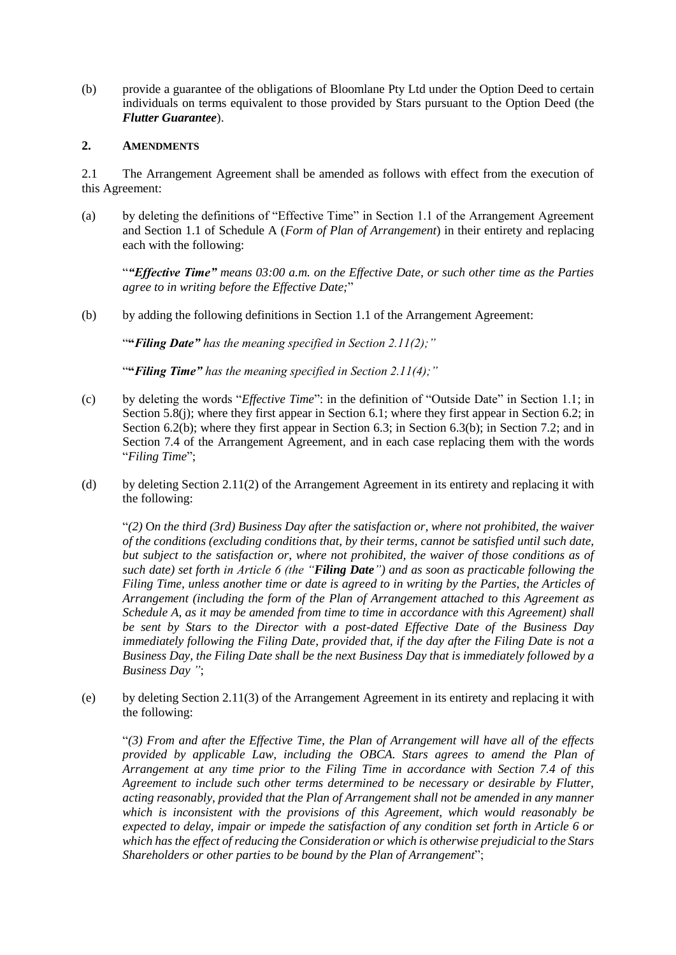(b) provide a guarantee of the obligations of Bloomlane Pty Ltd under the Option Deed to certain individuals on terms equivalent to those provided by Stars pursuant to the Option Deed (the *Flutter Guarantee*).

## **2. AMENDMENTS**

2.1 The Arrangement Agreement shall be amended as follows with effect from the execution of this Agreement:

(a) by deleting the definitions of "Effective Time" in Section 1.1 of the Arrangement Agreement and Section 1.1 of Schedule A (*Form of Plan of Arrangement*) in their entirety and replacing each with the following:

"*"Effective Time" means 03:00 a.m. on the Effective Date, or such other time as the Parties agree to in writing before the Effective Date;*"

(b) by adding the following definitions in Section 1.1 of the Arrangement Agreement:

"**"***Filing Date" has the meaning specified in Section 2.11(2);"*

"**"***Filing Time" has the meaning specified in Section 2.11(4);"*

- (c) by deleting the words "*Effective Time*": in the definition of "Outside Date" in Section 1.1; in Section 5.8(j); where they first appear in Section 6.1; where they first appear in Section 6.2; in Section 6.2(b); where they first appear in Section 6.3; in Section 6.3(b); in Section 7.2; and in Section 7.4 of the Arrangement Agreement, and in each case replacing them with the words "*Filing Time*";
- (d) by deleting Section 2.11(2) of the Arrangement Agreement in its entirety and replacing it with the following:

"*(2)* O*n the third (3rd) Business Day after the satisfaction or, where not prohibited, the waiver of the conditions (excluding conditions that, by their terms, cannot be satisfied until such date, but subject to the satisfaction or, where not prohibited, the waiver of those conditions as of such date) set forth in Article 6 (the "Filing Date") and as soon as practicable following the Filing Time, unless another time or date is agreed to in writing by the Parties, the Articles of Arrangement (including the form of the Plan of Arrangement attached to this Agreement as Schedule A, as it may be amended from time to time in accordance with this Agreement) shall be sent by Stars to the Director with a post-dated Effective Date of the Business Day immediately following the Filing Date, provided that, if the day after the Filing Date is not a Business Day, the Filing Date shall be the next Business Day that is immediately followed by a Business Day "*;

(e) by deleting Section 2.11(3) of the Arrangement Agreement in its entirety and replacing it with the following:

"*(3) From and after the Effective Time, the Plan of Arrangement will have all of the effects provided by applicable Law, including the OBCA. Stars agrees to amend the Plan of Arrangement at any time prior to the Filing Time in accordance with Section 7.4 of this Agreement to include such other terms determined to be necessary or desirable by Flutter, acting reasonably, provided that the Plan of Arrangement shall not be amended in any manner which is inconsistent with the provisions of this Agreement, which would reasonably be expected to delay, impair or impede the satisfaction of any condition set forth in Article 6 or which has the effect of reducing the Consideration or which is otherwise prejudicial to the Stars Shareholders or other parties to be bound by the Plan of Arrangement*";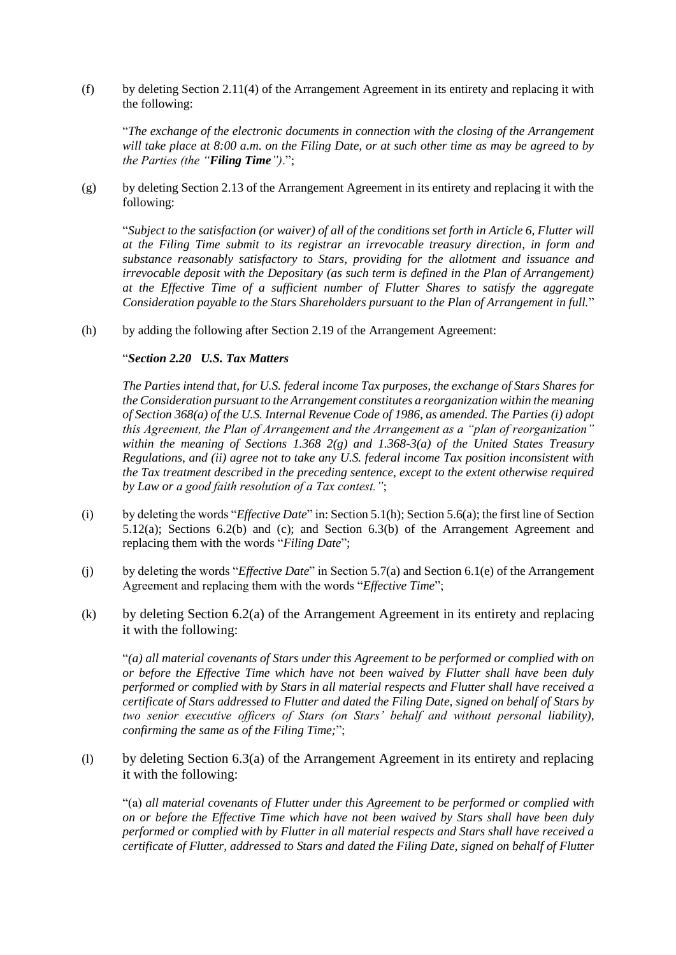(f) by deleting Section 2.11(4) of the Arrangement Agreement in its entirety and replacing it with the following:

"*The exchange of the electronic documents in connection with the closing of the Arrangement will take place at 8:00 a.m. on the Filing Date, or at such other time as may be agreed to by the Parties (the "Filing Time")*.";

(g) by deleting Section 2.13 of the Arrangement Agreement in its entirety and replacing it with the following:

"*Subject to the satisfaction (or waiver) of all of the conditions set forth in Article 6, Flutter will at the Filing Time submit to its registrar an irrevocable treasury direction, in form and substance reasonably satisfactory to Stars, providing for the allotment and issuance and irrevocable deposit with the Depositary (as such term is defined in the Plan of Arrangement) at the Effective Time of a sufficient number of Flutter Shares to satisfy the aggregate Consideration payable to the Stars Shareholders pursuant to the Plan of Arrangement in full.*"

(h) by adding the following after Section 2.19 of the Arrangement Agreement:

### "*Section 2.20 U.S. Tax Matters*

*The Parties intend that, for U.S. federal income Tax purposes, the exchange of Stars Shares for the Consideration pursuant to the Arrangement constitutes a reorganization within the meaning of Section 368(a) of the U.S. Internal Revenue Code of 1986, as amended. The Parties (i) adopt this Agreement, the Plan of Arrangement and the Arrangement as a "plan of reorganization" within the meaning of Sections 1.368 2(g) and 1.368-3(a) of the United States Treasury Regulations, and (ii) agree not to take any U.S. federal income Tax position inconsistent with the Tax treatment described in the preceding sentence, except to the extent otherwise required by Law or a good faith resolution of a Tax contest."*;

- (i) by deleting the words "*Effective Date*" in: Section 5.1(h); Section 5.6(a); the first line of Section 5.12(a); Sections 6.2(b) and (c); and Section 6.3(b) of the Arrangement Agreement and replacing them with the words "*Filing Date*";
- (j) by deleting the words "*Effective Date*" in Section 5.7(a) and Section 6.1(e) of the Arrangement Agreement and replacing them with the words "*Effective Time*";
- (k) by deleting Section 6.2(a) of the Arrangement Agreement in its entirety and replacing it with the following:

"*(a) all material covenants of Stars under this Agreement to be performed or complied with on or before the Effective Time which have not been waived by Flutter shall have been duly performed or complied with by Stars in all material respects and Flutter shall have received a certificate of Stars addressed to Flutter and dated the Filing Date, signed on behalf of Stars by two senior executive officers of Stars (on Stars' behalf and without personal liability), confirming the same as of the Filing Time;*";

(l) by deleting Section 6.3(a) of the Arrangement Agreement in its entirety and replacing it with the following:

"(a) *all material covenants of Flutter under this Agreement to be performed or complied with on or before the Effective Time which have not been waived by Stars shall have been duly performed or complied with by Flutter in all material respects and Stars shall have received a certificate of Flutter, addressed to Stars and dated the Filing Date, signed on behalf of Flutter*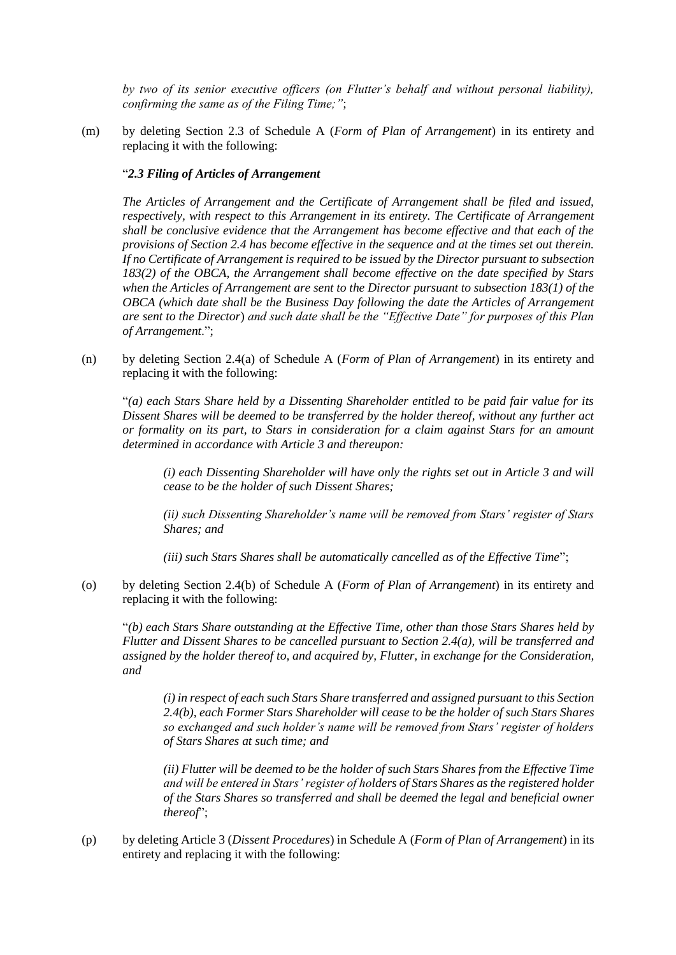*by two of its senior executive officers (on Flutter's behalf and without personal liability), confirming the same as of the Filing Time;"*;

(m) by deleting Section 2.3 of Schedule A (*Form of Plan of Arrangement*) in its entirety and replacing it with the following:

#### "*2.3 Filing of Articles of Arrangement*

*The Articles of Arrangement and the Certificate of Arrangement shall be filed and issued, respectively, with respect to this Arrangement in its entirety. The Certificate of Arrangement shall be conclusive evidence that the Arrangement has become effective and that each of the provisions of Section 2.4 has become effective in the sequence and at the times set out therein. If no Certificate of Arrangement is required to be issued by the Director pursuant to subsection 183(2) of the OBCA, the Arrangement shall become effective on the date specified by Stars when the Articles of Arrangement are sent to the Director pursuant to subsection 183(1) of the OBCA (which date shall be the Business Day following the date the Articles of Arrangement are sent to the Director*) *and such date shall be the "Effective Date" for purposes of this Plan of Arrangement*.";

(n) by deleting Section 2.4(a) of Schedule A (*Form of Plan of Arrangement*) in its entirety and replacing it with the following:

"*(a) each Stars Share held by a Dissenting Shareholder entitled to be paid fair value for its Dissent Shares will be deemed to be transferred by the holder thereof, without any further act or formality on its part, to Stars in consideration for a claim against Stars for an amount determined in accordance with Article 3 and thereupon:*

*(i) each Dissenting Shareholder will have only the rights set out in Article 3 and will cease to be the holder of such Dissent Shares;*

*(ii) such Dissenting Shareholder's name will be removed from Stars' register of Stars Shares; and*

*(iii) such Stars Shares shall be automatically cancelled as of the Effective Time*";

(o) by deleting Section 2.4(b) of Schedule A (*Form of Plan of Arrangement*) in its entirety and replacing it with the following:

"*(b) each Stars Share outstanding at the Effective Time, other than those Stars Shares held by Flutter and Dissent Shares to be cancelled pursuant to Section 2.4(a), will be transferred and assigned by the holder thereof to, and acquired by, Flutter, in exchange for the Consideration, and* 

*(i) in respect of each such Stars Share transferred and assigned pursuant to this Section 2.4(b), each Former Stars Shareholder will cease to be the holder of such Stars Shares so exchanged and such holder's name will be removed from Stars' register of holders of Stars Shares at such time; and*

*(ii) Flutter will be deemed to be the holder of such Stars Shares from the Effective Time and will be entered in Stars' register of holders of Stars Shares as the registered holder of the Stars Shares so transferred and shall be deemed the legal and beneficial owner thereof*";

(p) by deleting Article 3 (*Dissent Procedures*) in Schedule A (*Form of Plan of Arrangement*) in its entirety and replacing it with the following: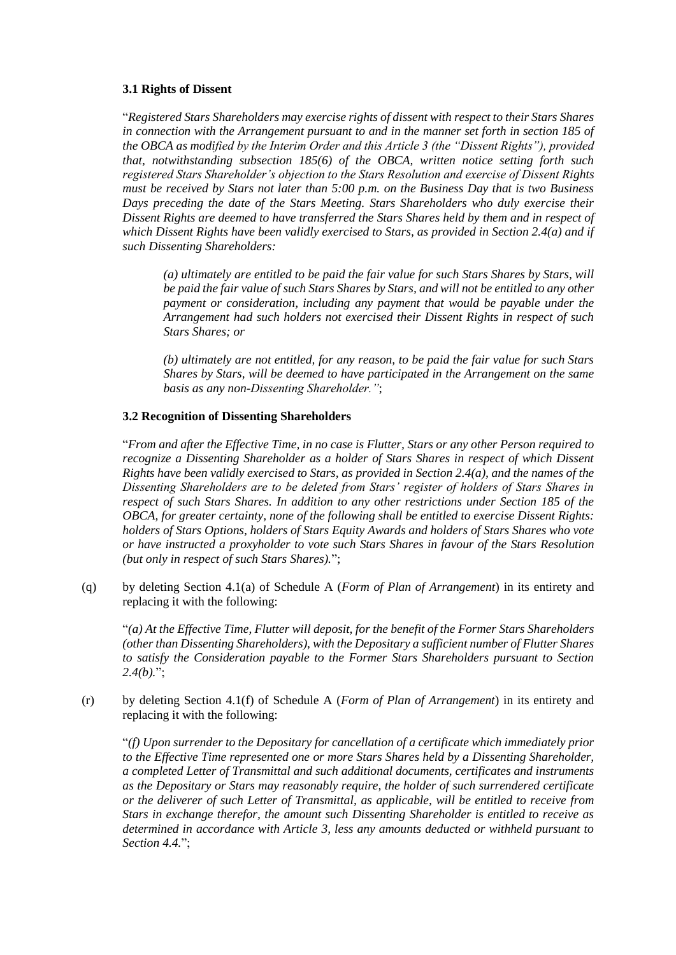### **3.1 Rights of Dissent**

"*Registered Stars Shareholders may exercise rights of dissent with respect to their Stars Shares in connection with the Arrangement pursuant to and in the manner set forth in section 185 of the OBCA as modified by the Interim Order and this Article 3 (the "Dissent Rights"), provided that, notwithstanding subsection 185(6) of the OBCA, written notice setting forth such registered Stars Shareholder's objection to the Stars Resolution and exercise of Dissent Rights must be received by Stars not later than 5:00 p.m. on the Business Day that is two Business Days preceding the date of the Stars Meeting. Stars Shareholders who duly exercise their Dissent Rights are deemed to have transferred the Stars Shares held by them and in respect of which Dissent Rights have been validly exercised to Stars, as provided in Section 2.4(a) and if such Dissenting Shareholders:*

*(a) ultimately are entitled to be paid the fair value for such Stars Shares by Stars, will be paid the fair value of such Stars Shares by Stars, and will not be entitled to any other payment or consideration, including any payment that would be payable under the Arrangement had such holders not exercised their Dissent Rights in respect of such Stars Shares; or*

*(b) ultimately are not entitled, for any reason, to be paid the fair value for such Stars Shares by Stars, will be deemed to have participated in the Arrangement on the same basis as any non-Dissenting Shareholder."*;

### **3.2 Recognition of Dissenting Shareholders**

"*From and after the Effective Time, in no case is Flutter, Stars or any other Person required to recognize a Dissenting Shareholder as a holder of Stars Shares in respect of which Dissent Rights have been validly exercised to Stars, as provided in Section 2.4(a), and the names of the Dissenting Shareholders are to be deleted from Stars' register of holders of Stars Shares in respect of such Stars Shares. In addition to any other restrictions under Section 185 of the OBCA, for greater certainty, none of the following shall be entitled to exercise Dissent Rights: holders of Stars Options, holders of Stars Equity Awards and holders of Stars Shares who vote or have instructed a proxyholder to vote such Stars Shares in favour of the Stars Resolution (but only in respect of such Stars Shares).*";

(q) by deleting Section 4.1(a) of Schedule A (*Form of Plan of Arrangement*) in its entirety and replacing it with the following:

"*(a) At the Effective Time, Flutter will deposit, for the benefit of the Former Stars Shareholders (other than Dissenting Shareholders), with the Depositary a sufficient number of Flutter Shares to satisfy the Consideration payable to the Former Stars Shareholders pursuant to Section 2.4(b).*";

(r) by deleting Section 4.1(f) of Schedule A (*Form of Plan of Arrangement*) in its entirety and replacing it with the following:

"*(f) Upon surrender to the Depositary for cancellation of a certificate which immediately prior to the Effective Time represented one or more Stars Shares held by a Dissenting Shareholder, a completed Letter of Transmittal and such additional documents, certificates and instruments as the Depositary or Stars may reasonably require, the holder of such surrendered certificate or the deliverer of such Letter of Transmittal, as applicable, will be entitled to receive from Stars in exchange therefor, the amount such Dissenting Shareholder is entitled to receive as determined in accordance with Article 3, less any amounts deducted or withheld pursuant to Section 4.4.*";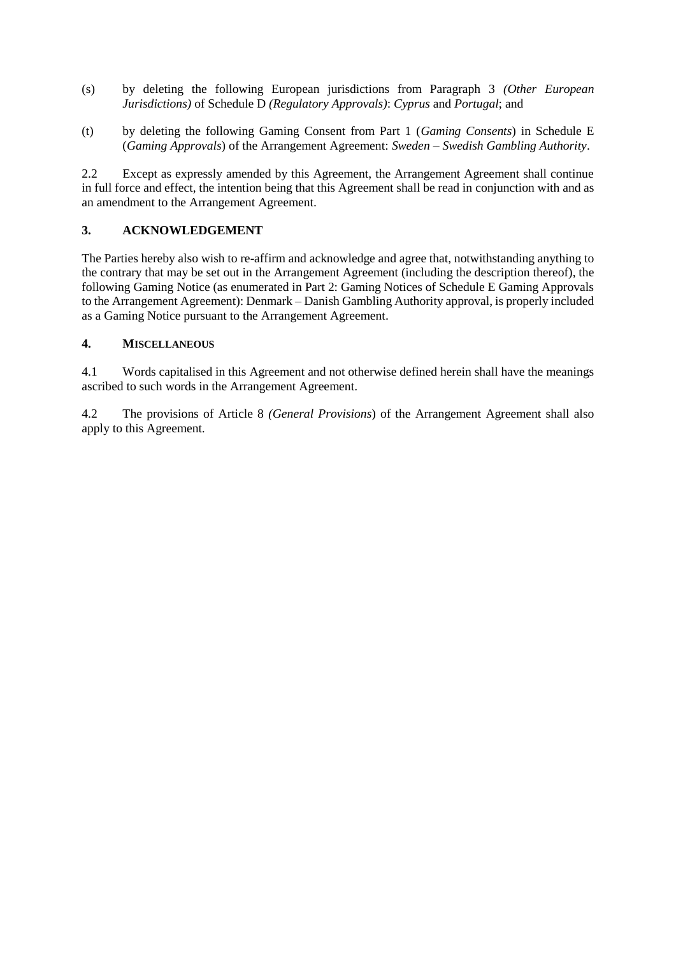- (s) by deleting the following European jurisdictions from Paragraph 3 *(Other European Jurisdictions)* of Schedule D *(Regulatory Approvals)*: *Cyprus* and *Portugal*; and
- (t) by deleting the following Gaming Consent from Part 1 (*Gaming Consents*) in Schedule E (*Gaming Approvals*) of the Arrangement Agreement: *Sweden – Swedish Gambling Authority*.

2.2 Except as expressly amended by this Agreement, the Arrangement Agreement shall continue in full force and effect, the intention being that this Agreement shall be read in conjunction with and as an amendment to the Arrangement Agreement.

# **3. ACKNOWLEDGEMENT**

The Parties hereby also wish to re-affirm and acknowledge and agree that, notwithstanding anything to the contrary that may be set out in the Arrangement Agreement (including the description thereof), the following Gaming Notice (as enumerated in Part 2: Gaming Notices of Schedule E Gaming Approvals to the Arrangement Agreement): Denmark – Danish Gambling Authority approval, is properly included as a Gaming Notice pursuant to the Arrangement Agreement.

# **4. MISCELLANEOUS**

4.1 Words capitalised in this Agreement and not otherwise defined herein shall have the meanings ascribed to such words in the Arrangement Agreement.

4.2 The provisions of Article 8 *(General Provisions*) of the Arrangement Agreement shall also apply to this Agreement*.*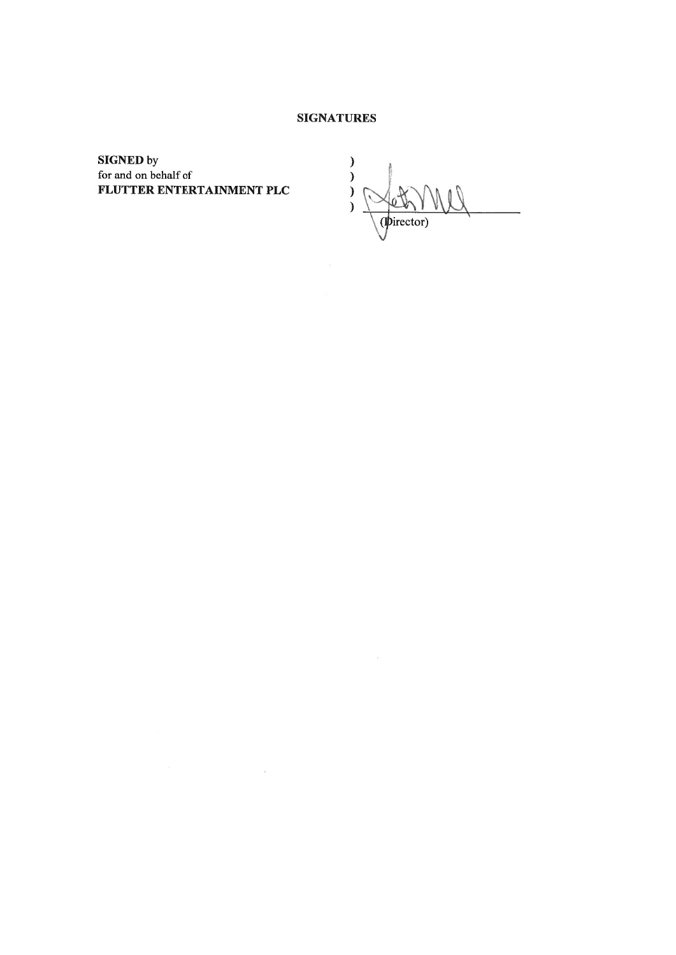## **SIGNATURES**

 $\sim 10^{-10}$ 

**SIGNED** by for and on behalf of FLUTTER ENTERTAINMENT PLC

 $\label{eq:2.1} \mathcal{O}(\varepsilon) = \frac{1}{\sqrt{2\pi}}\int_{0}^{\infty} \frac{d\mu}{\sqrt{2\pi}} \left( \frac{d\mu}{\sqrt{2\pi}} \right) \frac{d\mu}{\sqrt{2\pi}} \, d\mu$ 

 $\mathcal{E}$  $\overline{\phantom{a}}$  $\tilde{ }$  $\overline{\phantom{a}}$ (pirector)